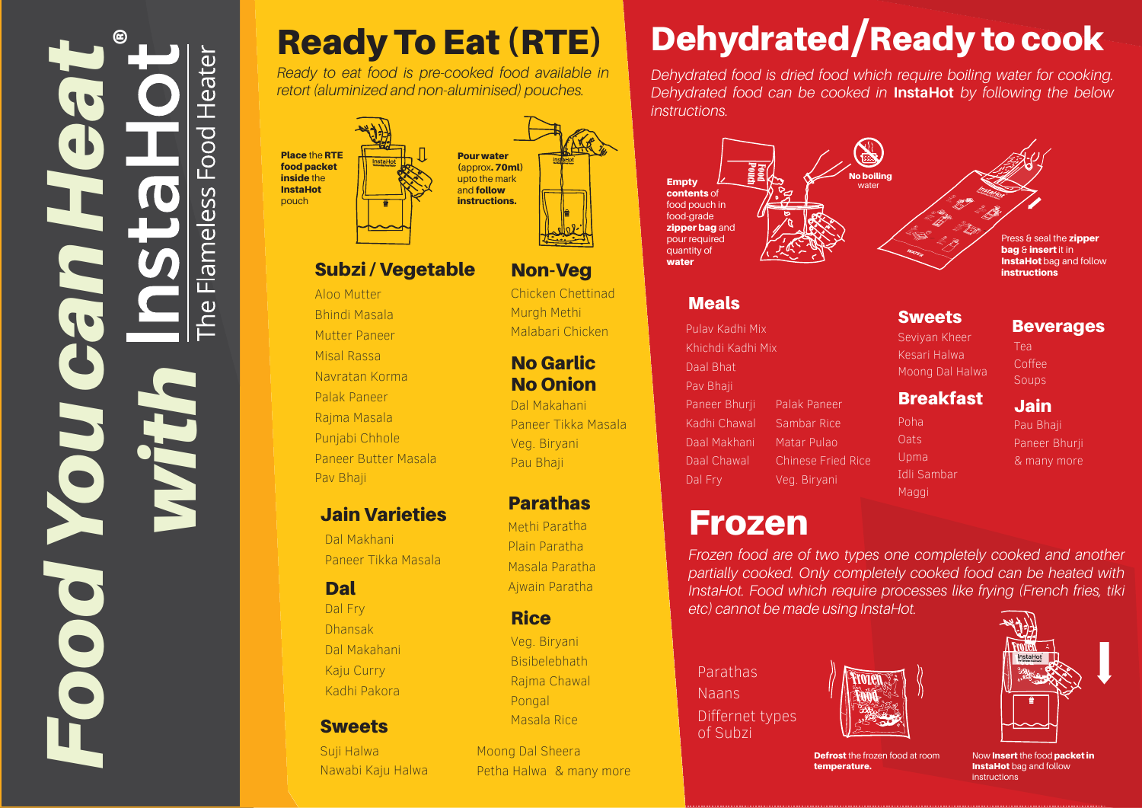# ®*You can Heat* Heater  $\overline{O}$ O  $\overline{\sigma}$  $\overline{\blacksquare}$ *with Food*

### Ready To Eat (RTE)

*Ready to eat food is pre-cooked food available in retort (aluminized and non-aluminised) pouches.* 



 $\overline{\mathbf{C}}$ 

SS Ö  $\overline{\mathsf{d}}$ 

 $\omega$ 



#### Subzi / Vegetable

#### Aloo Mutter Bhindi Masala Mutter Paneer Misal Rassa Navratan Korma Palak Paneer Paneer Butter Masala Punjabi Chhole Rajma Masala

#### Jain Varieties

Dal Makhani Paneer Tikka Masala

#### Dal

Pav Bhaji

Dal Makahani Dhansak Kadhi Pakora Kaju Curry Dal Fry

#### **Sweets**

Suji Halwa Nawabi Kaju Halwa

## Dehydrated/Ready to cook

*Dehydrated food is dried food which require boiling water for cooking. Dehydrated food can be cooked in* **InstaHot** *by following the below instructions.*



#### **Meals**

Palak Paneer Veg. Biryani Dal Fry Paneer Bhurji Pav Bhaji Soups and the contract of the contract of the Soups Soups Soups of the Soups of the Soups of the Soups of the Soups of the Soups of the Soups of the Soups of the Soups of the Soups of the Soups of the Soups of th Daal Bhat Khichdi Kadhi Mix Kesari Halwa Kadhi Chawal Pulav Kadhi Mix Daal Makhani Daal Chawal Sambar Rice Matar Pulao Chinese Fried Rice

### Frozen

*Frozen food are of two types one completely cooked and another partially cooked. Only completely cooked food can be heated with InstaHot. Food which require processes like frying (French fries, tiki etc) cannot be made using InstaHot.* 

Poha

Oats

Upma

Idli Sambar Maggi

Parathas Naans Differnet types of Subzi





**Defrost** the frozen food at room temperature.

#### Beverages

Tea Coffee

Jain

#### **Breakfast**

Moong Dal Halwa

Seviyan Kheer

**Sweets** 

Pau Bhaji

Paneer Bhurji & many more

Now Insert the food packet in **InstaHot** bag and follow instructions

Chicken Chettinad Malabari Chicken Murgh Methi

Non-Veg

#### No Onion No Garlic

Veg. Biryani Pau Bhaji Dal Makahani Paneer Tikka Masala

#### Parathas

Plain Paratha Methi Paratha Masala Paratha Ajwain Paratha

#### **Rice**

Bisibelebhath Masala Rice Rajma Chawal Veg. Biryani Pongal

Moong Dal Sheera Petha Halwa & many more